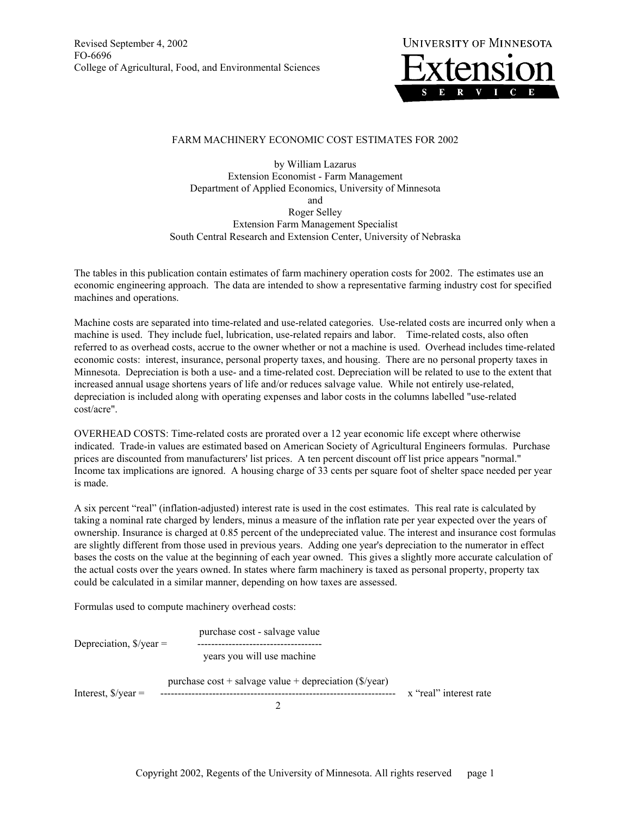Revised September 4, 2002 FO-6696 College of Agricultural, Food, and Environmental Sciences



## FARM MACHINERY ECONOMIC COST ESTIMATES FOR 2002

by William Lazarus Extension Economist - Farm Management Department of Applied Economics, University of Minnesota and Roger Selley Extension Farm Management Specialist South Central Research and Extension Center, University of Nebraska

The tables in this publication contain estimates of farm machinery operation costs for 2002. The estimates use an economic engineering approach. The data are intended to show a representative farming industry cost for specified machines and operations.

Machine costs are separated into time-related and use-related categories. Use-related costs are incurred only when a machine is used. They include fuel, lubrication, use-related repairs and labor. Time-related costs, also often referred to as overhead costs, accrue to the owner whether or not a machine is used. Overhead includes time-related economic costs: interest, insurance, personal property taxes, and housing. There are no personal property taxes in Minnesota. Depreciation is both a use- and a time-related cost. Depreciation will be related to use to the extent that increased annual usage shortens years of life and/or reduces salvage value. While not entirely use-related, depreciation is included along with operating expenses and labor costs in the columns labelled "use-related cost/acre".

OVERHEAD COSTS: Time-related costs are prorated over a 12 year economic life except where otherwise indicated. Trade-in values are estimated based on American Society of Agricultural Engineers formulas. Purchase prices are discounted from manufacturers' list prices. A ten percent discount off list price appears "normal." Income tax implications are ignored. A housing charge of 33 cents per square foot of shelter space needed per year is made.

A six percent "real" (inflation-adjusted) interest rate is used in the cost estimates. This real rate is calculated by taking a nominal rate charged by lenders, minus a measure of the inflation rate per year expected over the years of ownership. Insurance is charged at 0.85 percent of the undepreciated value. The interest and insurance cost formulas are slightly different from those used in previous years. Adding one year's depreciation to the numerator in effect bases the costs on the value at the beginning of each year owned. This gives a slightly more accurate calculation of the actual costs over the years owned. In states where farm machinery is taxed as personal property, property tax could be calculated in a similar manner, depending on how taxes are assessed.

Formulas used to compute machinery overhead costs:

purchase cost - salvage value Depreciation, \$/year = ----------------------------------- years you will use machine purchase  $cost +$  salvage value + depreciation ( $\sqrt{s}$ /year) Interest,  $\frac{s}{v}$  =  $\frac{\cdots}{s}$  =  $\cdots$  =  $\cdots$  =  $\cdots$  =  $\cdots$  =  $\cdots$  =  $\cdots$  =  $\cdots$  =  $\cdots$  =  $\cdots$   $\cdots$   $\cdots$   $\cdots$   $\cdots$   $\cdots$   $\cdots$   $\cdots$   $\cdots$   $\cdots$   $\cdots$   $\cdots$   $\cdots$   $\cdots$   $\cdots$   $\cdots$   $\cdots$   $\cdots$   $\cdots$   $\cdots$   $\cd$ 2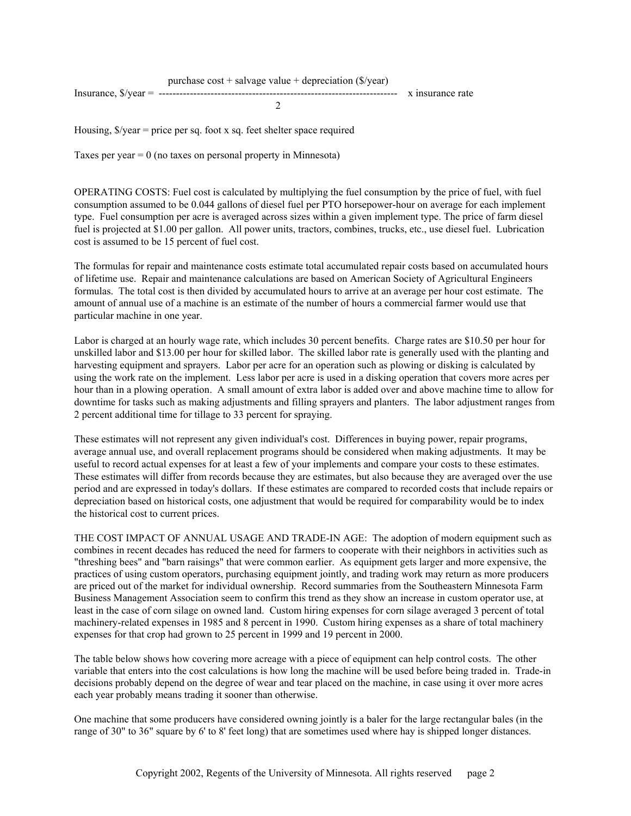Housing,  $\frac{f}{g}$  /year = price per sq. foot x sq. feet shelter space required

Taxes per year  $= 0$  (no taxes on personal property in Minnesota)

OPERATING COSTS: Fuel cost is calculated by multiplying the fuel consumption by the price of fuel, with fuel consumption assumed to be 0.044 gallons of diesel fuel per PTO horsepower-hour on average for each implement type. Fuel consumption per acre is averaged across sizes within a given implement type. The price of farm diesel fuel is projected at \$1.00 per gallon. All power units, tractors, combines, trucks, etc., use diesel fuel. Lubrication cost is assumed to be 15 percent of fuel cost.

The formulas for repair and maintenance costs estimate total accumulated repair costs based on accumulated hours of lifetime use. Repair and maintenance calculations are based on American Society of Agricultural Engineers formulas. The total cost is then divided by accumulated hours to arrive at an average per hour cost estimate. The amount of annual use of a machine is an estimate of the number of hours a commercial farmer would use that particular machine in one year.

Labor is charged at an hourly wage rate, which includes 30 percent benefits. Charge rates are \$10.50 per hour for unskilled labor and \$13.00 per hour for skilled labor. The skilled labor rate is generally used with the planting and harvesting equipment and sprayers. Labor per acre for an operation such as plowing or disking is calculated by using the work rate on the implement. Less labor per acre is used in a disking operation that covers more acres per hour than in a plowing operation. A small amount of extra labor is added over and above machine time to allow for downtime for tasks such as making adjustments and filling sprayers and planters. The labor adjustment ranges from 2 percent additional time for tillage to 33 percent for spraying.

These estimates will not represent any given individual's cost. Differences in buying power, repair programs, average annual use, and overall replacement programs should be considered when making adjustments. It may be useful to record actual expenses for at least a few of your implements and compare your costs to these estimates. These estimates will differ from records because they are estimates, but also because they are averaged over the use period and are expressed in today's dollars. If these estimates are compared to recorded costs that include repairs or depreciation based on historical costs, one adjustment that would be required for comparability would be to index the historical cost to current prices.

THE COST IMPACT OF ANNUAL USAGE AND TRADE-IN AGE: The adoption of modern equipment such as combines in recent decades has reduced the need for farmers to cooperate with their neighbors in activities such as "threshing bees" and "barn raisings" that were common earlier. As equipment gets larger and more expensive, the practices of using custom operators, purchasing equipment jointly, and trading work may return as more producers are priced out of the market for individual ownership. Record summaries from the Southeastern Minnesota Farm Business Management Association seem to confirm this trend as they show an increase in custom operator use, at least in the case of corn silage on owned land. Custom hiring expenses for corn silage averaged 3 percent of total machinery-related expenses in 1985 and 8 percent in 1990. Custom hiring expenses as a share of total machinery expenses for that crop had grown to 25 percent in 1999 and 19 percent in 2000.

The table below shows how covering more acreage with a piece of equipment can help control costs. The other variable that enters into the cost calculations is how long the machine will be used before being traded in. Trade-in decisions probably depend on the degree of wear and tear placed on the machine, in case using it over more acres each year probably means trading it sooner than otherwise.

One machine that some producers have considered owning jointly is a baler for the large rectangular bales (in the range of 30" to 36" square by 6' to 8' feet long) that are sometimes used where hay is shipped longer distances.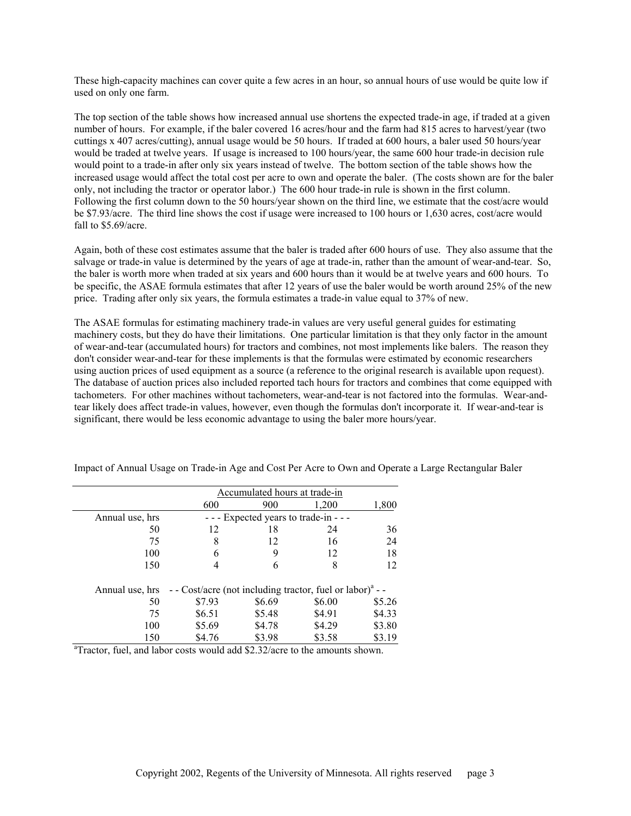These high-capacity machines can cover quite a few acres in an hour, so annual hours of use would be quite low if used on only one farm.

The top section of the table shows how increased annual use shortens the expected trade-in age, if traded at a given number of hours. For example, if the baler covered 16 acres/hour and the farm had 815 acres to harvest/year (two cuttings x 407 acres/cutting), annual usage would be 50 hours. If traded at 600 hours, a baler used 50 hours/year would be traded at twelve years. If usage is increased to 100 hours/year, the same 600 hour trade-in decision rule would point to a trade-in after only six years instead of twelve. The bottom section of the table shows how the increased usage would affect the total cost per acre to own and operate the baler. (The costs shown are for the baler only, not including the tractor or operator labor.) The 600 hour trade-in rule is shown in the first column. Following the first column down to the 50 hours/year shown on the third line, we estimate that the cost/acre would be \$7.93/acre. The third line shows the cost if usage were increased to 100 hours or 1,630 acres, cost/acre would fall to \$5.69/acre.

Again, both of these cost estimates assume that the baler is traded after 600 hours of use. They also assume that the salvage or trade-in value is determined by the years of age at trade-in, rather than the amount of wear-and-tear. So, the baler is worth more when traded at six years and 600 hours than it would be at twelve years and 600 hours. To be specific, the ASAE formula estimates that after 12 years of use the baler would be worth around 25% of the new price. Trading after only six years, the formula estimates a trade-in value equal to 37% of new.

The ASAE formulas for estimating machinery trade-in values are very useful general guides for estimating machinery costs, but they do have their limitations. One particular limitation is that they only factor in the amount of wear-and-tear (accumulated hours) for tractors and combines, not most implements like balers. The reason they don't consider wear-and-tear for these implements is that the formulas were estimated by economic researchers using auction prices of used equipment as a source (a reference to the original research is available upon request). The database of auction prices also included reported tach hours for tractors and combines that come equipped with tachometers. For other machines without tachometers, wear-and-tear is not factored into the formulas. Wear-andtear likely does affect trade-in values, however, even though the formulas don't incorporate it. If wear-and-tear is significant, there would be less economic advantage to using the baler more hours/year.

|                 | Accumulated hours at trade-in                                                       |                                        |        |        |  |  |  |  |  |  |  |  |
|-----------------|-------------------------------------------------------------------------------------|----------------------------------------|--------|--------|--|--|--|--|--|--|--|--|
|                 | 600                                                                                 | 900                                    | 1,200  | 1,800  |  |  |  |  |  |  |  |  |
| Annual use, hrs |                                                                                     | - - - Expected years to trade-in - - - |        |        |  |  |  |  |  |  |  |  |
| 50              | 12                                                                                  | 18                                     | 24     | 36     |  |  |  |  |  |  |  |  |
| 75              | 8                                                                                   | 12                                     | 16     | 24     |  |  |  |  |  |  |  |  |
| 100             | 6                                                                                   | 9                                      | 12     | 18     |  |  |  |  |  |  |  |  |
| 150             |                                                                                     | 6                                      | 8      | 12     |  |  |  |  |  |  |  |  |
|                 | Annual use, hrs - Cost/acre (not including tractor, fuel or labor) <sup>a</sup> - - |                                        |        |        |  |  |  |  |  |  |  |  |
| 50              | \$7.93                                                                              | \$6.69                                 | \$6.00 | \$5.26 |  |  |  |  |  |  |  |  |
| 75              | \$6.51                                                                              | \$5.48                                 | \$4.91 | \$4.33 |  |  |  |  |  |  |  |  |
| 100             | \$5.69                                                                              | \$4.78                                 | \$4.29 | \$3.80 |  |  |  |  |  |  |  |  |
| 150             | \$4.76                                                                              | \$3.98                                 | \$3.58 | \$3.19 |  |  |  |  |  |  |  |  |

Impact of Annual Usage on Trade-in Age and Cost Per Acre to Own and Operate a Large Rectangular Baler

<sup>a</sup>Tractor, fuel, and labor costs would add \$2.32/acre to the amounts shown.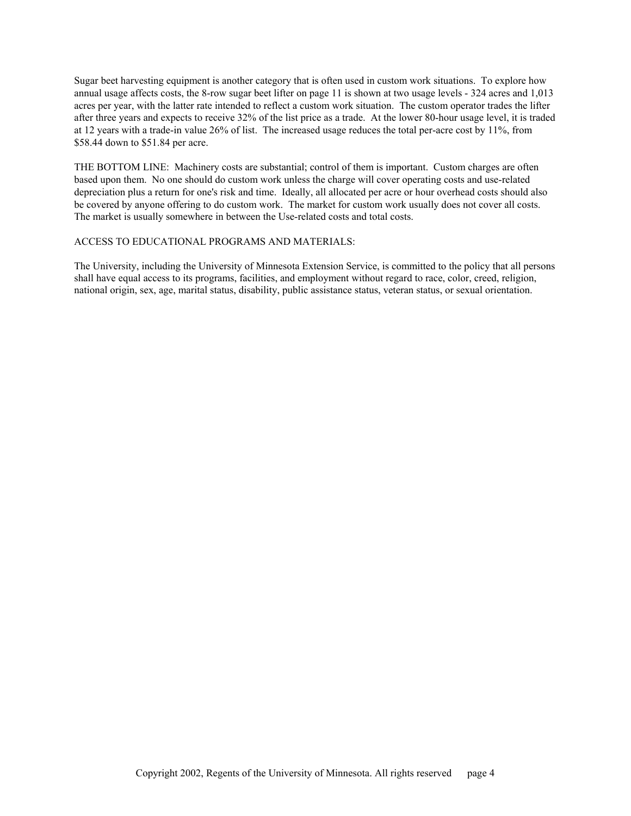Sugar beet harvesting equipment is another category that is often used in custom work situations. To explore how annual usage affects costs, the 8-row sugar beet lifter on page 11 is shown at two usage levels - 324 acres and 1,013 acres per year, with the latter rate intended to reflect a custom work situation. The custom operator trades the lifter after three years and expects to receive 32% of the list price as a trade. At the lower 80-hour usage level, it is traded at 12 years with a trade-in value 26% of list. The increased usage reduces the total per-acre cost by 11%, from \$58.44 down to \$51.84 per acre.

THE BOTTOM LINE: Machinery costs are substantial; control of them is important. Custom charges are often based upon them. No one should do custom work unless the charge will cover operating costs and use-related depreciation plus a return for one's risk and time. Ideally, all allocated per acre or hour overhead costs should also be covered by anyone offering to do custom work. The market for custom work usually does not cover all costs. The market is usually somewhere in between the Use-related costs and total costs.

## ACCESS TO EDUCATIONAL PROGRAMS AND MATERIALS:

The University, including the University of Minnesota Extension Service, is committed to the policy that all persons shall have equal access to its programs, facilities, and employment without regard to race, color, creed, religion, national origin, sex, age, marital status, disability, public assistance status, veteran status, or sexual orientation.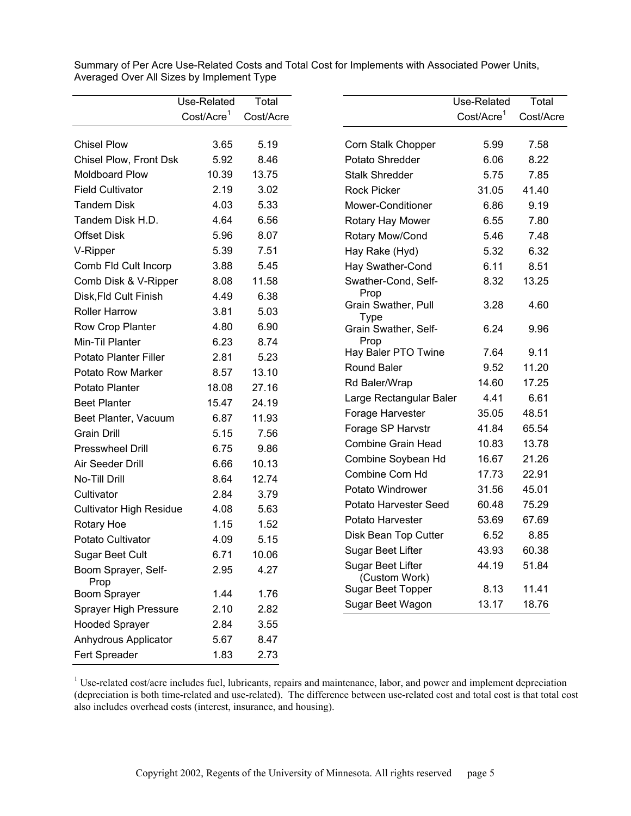|                                | Use-Related             | Total     |                                    | Use-Related            |
|--------------------------------|-------------------------|-----------|------------------------------------|------------------------|
|                                | Cost/Accre <sup>1</sup> | Cost/Acre |                                    | Cost/Acre <sup>1</sup> |
| <b>Chisel Plow</b>             | 3.65                    | 5.19      | Corn Stalk Chopper                 | 5.99                   |
| Chisel Plow, Front Dsk         | 5.92                    | 8.46      | Potato Shredder                    | 6.06                   |
| Moldboard Plow                 | 10.39                   | 13.75     | <b>Stalk Shredder</b>              | 5.75                   |
| <b>Field Cultivator</b>        | 2.19                    | 3.02      | <b>Rock Picker</b>                 | 31.05                  |
| <b>Tandem Disk</b>             | 4.03                    | 5.33      | Mower-Conditioner                  | 6.86                   |
| Tandem Disk H.D.               | 4.64                    | 6.56      | Rotary Hay Mower                   | 6.55                   |
| <b>Offset Disk</b>             | 5.96                    | 8.07      | Rotary Mow/Cond                    | 5.46                   |
| V-Ripper                       | 5.39                    | 7.51      | Hay Rake (Hyd)                     | 5.32                   |
| Comb Fld Cult Incorp           | 3.88                    | 5.45      | Hay Swather-Cond                   | 6.11                   |
| Comb Disk & V-Ripper           | 8.08                    | 11.58     | Swather-Cond, Self-                | 8.32                   |
| Disk, Fld Cult Finish          | 4.49                    | 6.38      | Prop                               |                        |
| <b>Roller Harrow</b>           | 3.81                    | 5.03      | Grain Swather, Pull                | 3.28                   |
| Row Crop Planter               | 4.80                    | 6.90      | <b>Type</b>                        |                        |
| Min-Til Planter                | 6.23                    | 8.74      | Grain Swather, Self-<br>Prop       | 6.24                   |
| <b>Potato Planter Filler</b>   | 2.81                    | 5.23      | Hay Baler PTO Twine                | 7.64                   |
| Potato Row Marker              | 8.57                    | 13.10     | Round Baler                        | 9.52                   |
| Potato Planter                 | 18.08                   | 27.16     | Rd Baler/Wrap                      | 14.60                  |
| <b>Beet Planter</b>            | 15.47                   | 24.19     | Large Rectangular Baler            | 4.41                   |
| Beet Planter, Vacuum           | 6.87                    | 11.93     | Forage Harvester                   | 35.05                  |
| <b>Grain Drill</b>             | 5.15                    | 7.56      | Forage SP Harvstr                  | 41.84                  |
| <b>Presswheel Drill</b>        | 6.75                    | 9.86      | Combine Grain Head                 | 10.83                  |
| Air Seeder Drill               | 6.66                    | 10.13     | Combine Soybean Hd                 | 16.67                  |
| No-Till Drill                  | 8.64                    | 12.74     | Combine Corn Hd                    | 17.73                  |
| Cultivator                     | 2.84                    | 3.79      | Potato Windrower                   | 31.56                  |
| <b>Cultivator High Residue</b> | 4.08                    | 5.63      | Potato Harvester Seed              | 60.48                  |
| Rotary Hoe                     | 1.15                    | 1.52      | Potato Harvester                   | 53.69                  |
| Potato Cultivator              | 4.09                    | 5.15      | Disk Bean Top Cutter               | 6.52                   |
| <b>Sugar Beet Cult</b>         | 6.71                    | 10.06     | Sugar Beet Lifter                  | 43.93                  |
| Boom Sprayer, Self-<br>Prop    | 2.95                    | 4.27      | Sugar Beet Lifter<br>(Custom Work) | 44.19                  |
| Boom Sprayer                   | 1.44                    | 1.76      | <b>Sugar Beet Topper</b>           | 8.13                   |
| Sprayer High Pressure          | 2.10                    | 2.82      | Sugar Beet Wagon                   | 13.17                  |
| <b>Hooded Sprayer</b>          | 2.84                    | 3.55      |                                    |                        |
| Anhydrous Applicator           | 5.67                    | 8.47      |                                    |                        |
| Fert Spreader                  | 1.83                    | 2.73      |                                    |                        |

Summary of Per Acre Use-Related Costs and Total Cost for Implements with Associated Power Units, Averaged Over All Sizes by Implement Type

 $1$  Use-related cost/acre includes fuel, lubricants, repairs and maintenance, labor, and power and implement depreciation (depreciation is both time-related and use-related). The difference between use-related cost and total cost is that total cost also includes overhead costs (interest, insurance, and housing).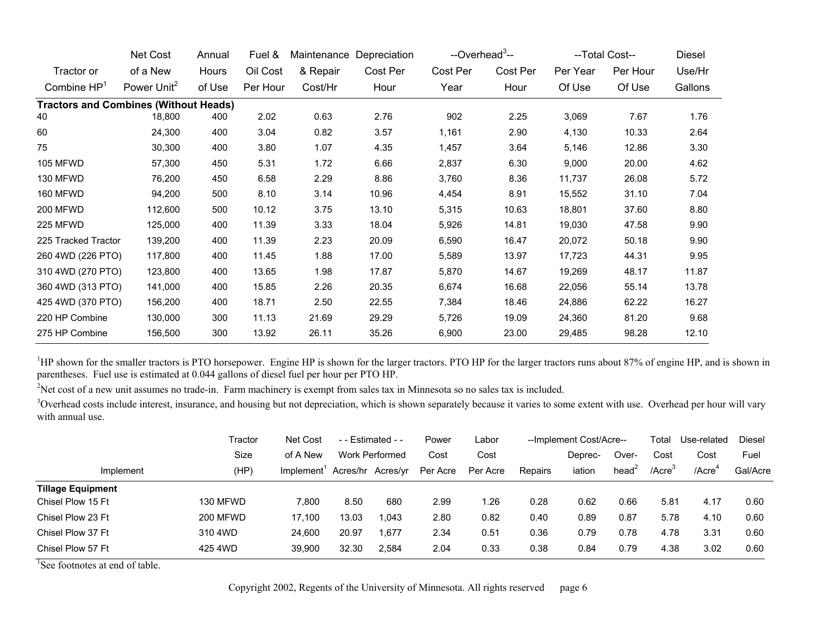|                                              | Net Cost                | Annual | Fuel &   | Depreciation<br>Maintenance |          | --Overhead <sup>3</sup> -- |          | --Total Cost-- | Diesel   |         |
|----------------------------------------------|-------------------------|--------|----------|-----------------------------|----------|----------------------------|----------|----------------|----------|---------|
| Tractor or                                   | of a New                | Hours  | Oil Cost | & Repair                    | Cost Per | Cost Per                   | Cost Per | Per Year       | Per Hour | Use/Hr  |
| Combine $HP1$                                | Power Unit <sup>2</sup> | of Use | Per Hour | Cost/Hr                     | Hour     | Year                       | Hour     | Of Use         | Of Use   | Gallons |
| <b>Tractors and Combines (Without Heads)</b> |                         |        |          |                             |          |                            |          |                |          |         |
| 40                                           | 18,800                  | 400    | 2.02     | 0.63                        | 2.76     | 902                        | 2.25     | 3,069          | 7.67     | 1.76    |
| 60                                           | 24,300                  | 400    | 3.04     | 0.82                        | 3.57     | 1,161                      | 2.90     | 4,130          | 10.33    | 2.64    |
| 75                                           | 30,300                  | 400    | 3.80     | 1.07                        | 4.35     | 1,457                      | 3.64     | 5,146          | 12.86    | 3.30    |
| <b>105 MFWD</b>                              | 57,300                  | 450    | 5.31     | 1.72                        | 6.66     | 2,837                      | 6.30     | 9,000          | 20.00    | 4.62    |
| 130 MFWD                                     | 76,200                  | 450    | 6.58     | 2.29                        | 8.86     | 3,760                      | 8.36     | 11,737         | 26.08    | 5.72    |
| 160 MFWD                                     | 94,200                  | 500    | 8.10     | 3.14                        | 10.96    | 4,454                      | 8.91     | 15,552         | 31.10    | 7.04    |
| <b>200 MFWD</b>                              | 112,600                 | 500    | 10.12    | 3.75                        | 13.10    | 5,315                      | 10.63    | 18,801         | 37.60    | 8.80    |
| 225 MFWD                                     | 125,000                 | 400    | 11.39    | 3.33                        | 18.04    | 5,926                      | 14.81    | 19,030         | 47.58    | 9.90    |
| 225 Tracked Tractor                          | 139,200                 | 400    | 11.39    | 2.23                        | 20.09    | 6,590                      | 16.47    | 20,072         | 50.18    | 9.90    |
| 260 4WD (226 PTO)                            | 117,800                 | 400    | 11.45    | 1.88                        | 17.00    | 5,589                      | 13.97    | 17,723         | 44.31    | 9.95    |
| 310 4WD (270 PTO)                            | 123,800                 | 400    | 13.65    | 1.98                        | 17.87    | 5,870                      | 14.67    | 19,269         | 48.17    | 11.87   |
| 360 4WD (313 PTO)                            | 141,000                 | 400    | 15.85    | 2.26                        | 20.35    | 6,674                      | 16.68    | 22,056         | 55.14    | 13.78   |
| 425 4WD (370 PTO)                            | 156,200                 | 400    | 18.71    | 2.50                        | 22.55    | 7,384                      | 18.46    | 24,886         | 62.22    | 16.27   |
| 220 HP Combine                               | 130,000                 | 300    | 11.13    | 21.69                       | 29.29    | 5,726                      | 19.09    | 24,360         | 81.20    | 9.68    |
| 275 HP Combine                               | 156,500                 | 300    | 13.92    | 26.11                       | 35.26    | 6,900                      | 23.00    | 29,485         | 98.28    | 12.10   |

<sup>1</sup>HP shown for the smaller tractors is PTO horsepower. Engine HP is shown for the larger tractors. PTO HP for the larger tractors runs about 87% of engine HP, and is shown in parentheses. Fuel use is estimated at 0.044 gallons of diesel fuel per hour per PTO HP.

<sup>2</sup>Net cost of a new unit assumes no trade-in. Farm machinery is exempt from sales tax in Minnesota so no sales tax is included.

<sup>3</sup>Overhead costs include interest, insurance, and housing but not depreciation, which is shown separately because it varies to some extent with use. Overhead per hour will vary with annual use.

|                          | Tractor         | <b>Net Cost</b> | $-$ - Estimated - - |                   | Power    | Labor    |         | --Implement Cost/Acre-- |                   |                     | Use-related        | Diesel   |
|--------------------------|-----------------|-----------------|---------------------|-------------------|----------|----------|---------|-------------------------|-------------------|---------------------|--------------------|----------|
|                          | Size            | of A New        |                     | Work Performed    | Cost     | Cost     |         | Deprec-                 | Over-             | Cost                | Cost               | Fuel     |
| Implement                | (HP)            | Implement'      |                     | Acres/hr Acres/yr | Per Acre | Per Acre | Repairs | iation                  | head <sup>2</sup> | $/$ Acre $^{\circ}$ | /Acre <sup>1</sup> | Gal/Acre |
| <b>Tillage Equipment</b> |                 |                 |                     |                   |          |          |         |                         |                   |                     |                    |          |
| Chisel Plow 15 Ft        | 130 MFWD        | 7.800           | 8.50                | 680               | 2.99     | .26      | 0.28    | 0.62                    | 0.66              | 5.81                | 4.17               | 0.60     |
| Chisel Plow 23 Ft        | <b>200 MFWD</b> | 17.100          | 13.03               | 1.043             | 2.80     | 0.82     | 0.40    | 0.89                    | 0.87              | 5.78                | 4.10               | 0.60     |
| Chisel Plow 37 Ft        | 310 4WD         | 24.600          | 20.97               | 1.677             | 2.34     | 0.51     | 0.36    | 0.79                    | 0.78              | 4.78                | 3.31               | 0.60     |
| Chisel Plow 57 Ft        | 425 4WD         | 39,900          | 32.30               | 2,584             | 2.04     | 0.33     | 0.38    | 0.84                    | 0.79              | 4.38                | 3.02               | 0.60     |

<sup>1</sup>See footnotes at end of table.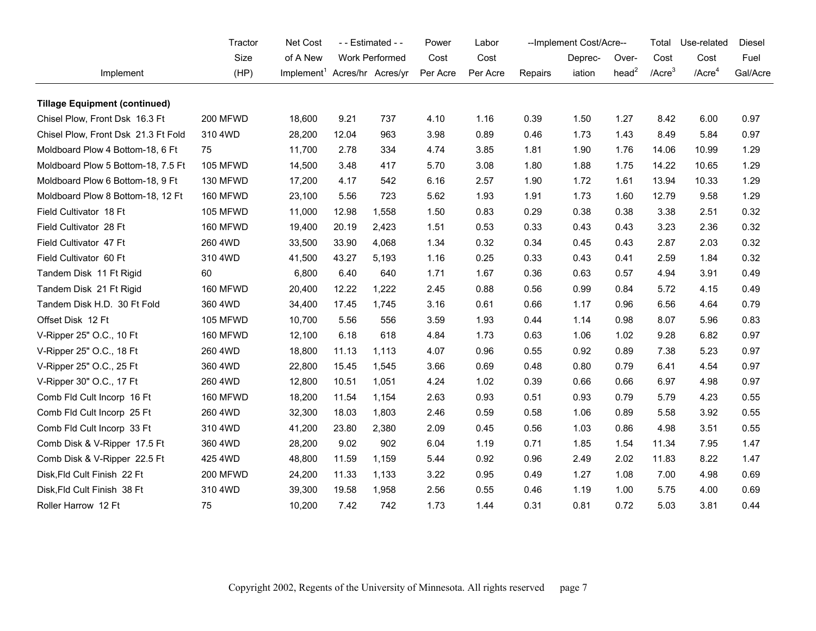|                                      | Tractor         | Net Cost                                 |       | - - Estimated - - | Power    | Labor    | --Implement Cost/Acre-- |         |                   | Total        | Use-related        | <b>Diesel</b> |
|--------------------------------------|-----------------|------------------------------------------|-------|-------------------|----------|----------|-------------------------|---------|-------------------|--------------|--------------------|---------------|
|                                      | Size            | of A New                                 |       | Work Performed    | Cost     | Cost     |                         | Deprec- | Over-             | Cost         | Cost               | Fuel          |
| Implement                            | (HP)            | Implement <sup>1</sup> Acres/hr Acres/yr |       |                   | Per Acre | Per Acre | Repairs                 | iation  | head <sup>2</sup> | $/$ Acre $3$ | /Acre <sup>4</sup> | Gal/Acre      |
| <b>Tillage Equipment (continued)</b> |                 |                                          |       |                   |          |          |                         |         |                   |              |                    |               |
| Chisel Plow, Front Dsk 16.3 Ft       | 200 MFWD        | 18,600                                   | 9.21  | 737               | 4.10     | 1.16     | 0.39                    | 1.50    | 1.27              | 8.42         | 6.00               | 0.97          |
| Chisel Plow, Front Dsk 21.3 Ft Fold  | 310 4WD         | 28,200                                   | 12.04 | 963               | 3.98     | 0.89     | 0.46                    | 1.73    | 1.43              | 8.49         | 5.84               | 0.97          |
| Moldboard Plow 4 Bottom-18, 6 Ft     | 75              | 11,700                                   | 2.78  | 334               | 4.74     | 3.85     | 1.81                    | 1.90    | 1.76              | 14.06        | 10.99              | 1.29          |
| Moldboard Plow 5 Bottom-18, 7.5 Ft   | <b>105 MFWD</b> | 14,500                                   | 3.48  | 417               | 5.70     | 3.08     | 1.80                    | 1.88    | 1.75              | 14.22        | 10.65              | 1.29          |
| Moldboard Plow 6 Bottom-18, 9 Ft     | 130 MFWD        | 17,200                                   | 4.17  | 542               | 6.16     | 2.57     | 1.90                    | 1.72    | 1.61              | 13.94        | 10.33              | 1.29          |
| Moldboard Plow 8 Bottom-18, 12 Ft    | 160 MFWD        | 23,100                                   | 5.56  | 723               | 5.62     | 1.93     | 1.91                    | 1.73    | 1.60              | 12.79        | 9.58               | 1.29          |
| Field Cultivator 18 Ft               | 105 MFWD        | 11,000                                   | 12.98 | 1,558             | 1.50     | 0.83     | 0.29                    | 0.38    | 0.38              | 3.38         | 2.51               | 0.32          |
| Field Cultivator 28 Ft               | 160 MFWD        | 19,400                                   | 20.19 | 2,423             | 1.51     | 0.53     | 0.33                    | 0.43    | 0.43              | 3.23         | 2.36               | 0.32          |
| Field Cultivator 47 Ft               | 260 4WD         | 33,500                                   | 33.90 | 4,068             | 1.34     | 0.32     | 0.34                    | 0.45    | 0.43              | 2.87         | 2.03               | 0.32          |
| Field Cultivator 60 Ft               | 310 4WD         | 41,500                                   | 43.27 | 5,193             | 1.16     | 0.25     | 0.33                    | 0.43    | 0.41              | 2.59         | 1.84               | 0.32          |
| Tandem Disk 11 Ft Rigid              | 60              | 6,800                                    | 6.40  | 640               | 1.71     | 1.67     | 0.36                    | 0.63    | 0.57              | 4.94         | 3.91               | 0.49          |
| Tandem Disk 21 Ft Rigid              | 160 MFWD        | 20,400                                   | 12.22 | 1,222             | 2.45     | 0.88     | 0.56                    | 0.99    | 0.84              | 5.72         | 4.15               | 0.49          |
| Tandem Disk H.D. 30 Ft Fold          | 360 4WD         | 34,400                                   | 17.45 | 1,745             | 3.16     | 0.61     | 0.66                    | 1.17    | 0.96              | 6.56         | 4.64               | 0.79          |
| Offset Disk 12 Ft                    | 105 MFWD        | 10,700                                   | 5.56  | 556               | 3.59     | 1.93     | 0.44                    | 1.14    | 0.98              | 8.07         | 5.96               | 0.83          |
| V-Ripper 25" O.C., 10 Ft             | <b>160 MFWD</b> | 12,100                                   | 6.18  | 618               | 4.84     | 1.73     | 0.63                    | 1.06    | 1.02              | 9.28         | 6.82               | 0.97          |
| V-Ripper 25" O.C., 18 Ft             | 260 4WD         | 18,800                                   | 11.13 | 1,113             | 4.07     | 0.96     | 0.55                    | 0.92    | 0.89              | 7.38         | 5.23               | 0.97          |
| V-Ripper 25" O.C., 25 Ft             | 360 4WD         | 22,800                                   | 15.45 | 1,545             | 3.66     | 0.69     | 0.48                    | 0.80    | 0.79              | 6.41         | 4.54               | 0.97          |
| V-Ripper 30" O.C., 17 Ft             | 260 4WD         | 12,800                                   | 10.51 | 1,051             | 4.24     | 1.02     | 0.39                    | 0.66    | 0.66              | 6.97         | 4.98               | 0.97          |
| Comb Fld Cult Incorp 16 Ft           | 160 MFWD        | 18,200                                   | 11.54 | 1,154             | 2.63     | 0.93     | 0.51                    | 0.93    | 0.79              | 5.79         | 4.23               | 0.55          |
| Comb Fld Cult Incorp 25 Ft           | 260 4WD         | 32,300                                   | 18.03 | 1,803             | 2.46     | 0.59     | 0.58                    | 1.06    | 0.89              | 5.58         | 3.92               | 0.55          |
| Comb Fld Cult Incorp 33 Ft           | 310 4WD         | 41,200                                   | 23.80 | 2,380             | 2.09     | 0.45     | 0.56                    | 1.03    | 0.86              | 4.98         | 3.51               | 0.55          |
| Comb Disk & V-Ripper 17.5 Ft         | 360 4WD         | 28,200                                   | 9.02  | 902               | 6.04     | 1.19     | 0.71                    | 1.85    | 1.54              | 11.34        | 7.95               | 1.47          |
| Comb Disk & V-Ripper 22.5 Ft         | 425 4WD         | 48,800                                   | 11.59 | 1,159             | 5.44     | 0.92     | 0.96                    | 2.49    | 2.02              | 11.83        | 8.22               | 1.47          |
| Disk, Fld Cult Finish 22 Ft          | <b>200 MFWD</b> | 24,200                                   | 11.33 | 1,133             | 3.22     | 0.95     | 0.49                    | 1.27    | 1.08              | 7.00         | 4.98               | 0.69          |
| Disk, Fld Cult Finish 38 Ft          | 310 4WD         | 39,300                                   | 19.58 | 1,958             | 2.56     | 0.55     | 0.46                    | 1.19    | 1.00              | 5.75         | 4.00               | 0.69          |
| Roller Harrow 12 Ft                  | 75              | 10,200                                   | 7.42  | 742               | 1.73     | 1.44     | 0.31                    | 0.81    | 0.72              | 5.03         | 3.81               | 0.44          |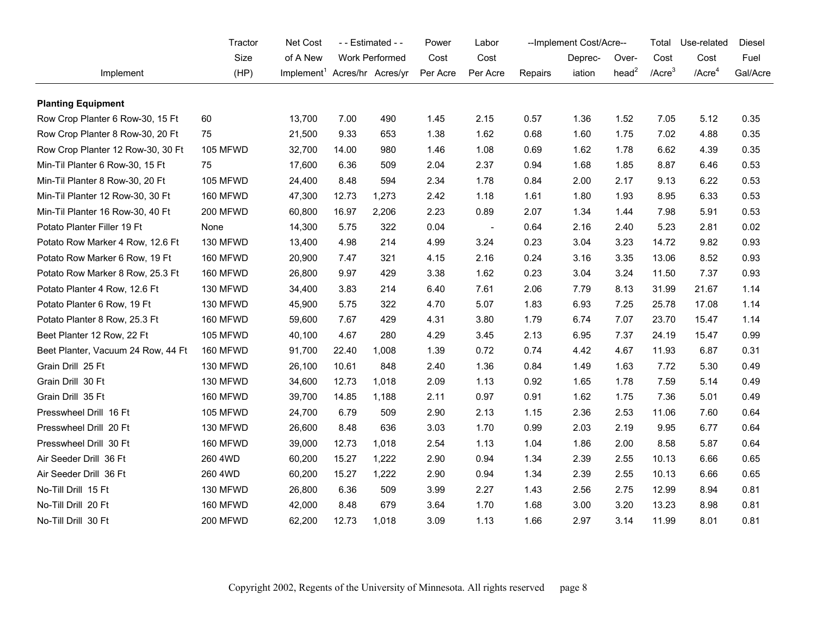|                                    | Tractor         | Net Cost                                 | - - Estimated - - |                | Power    | Labor                    | --Implement Cost/Acre-- |         |                   | Total        | Use-related        | Diesel   |
|------------------------------------|-----------------|------------------------------------------|-------------------|----------------|----------|--------------------------|-------------------------|---------|-------------------|--------------|--------------------|----------|
|                                    | Size            | of A New                                 |                   | Work Performed | Cost     | Cost                     |                         | Deprec- | Over-             | Cost         | Cost               | Fuel     |
| Implement                          | (HP)            | Implement <sup>1</sup> Acres/hr Acres/yr |                   |                | Per Acre | Per Acre                 | Repairs                 | iation  | head <sup>2</sup> | $/$ Acre $3$ | /Acre <sup>4</sup> | Gal/Acre |
| <b>Planting Equipment</b>          |                 |                                          |                   |                |          |                          |                         |         |                   |              |                    |          |
| Row Crop Planter 6 Row-30, 15 Ft   | 60              | 13,700                                   | 7.00              | 490            | 1.45     | 2.15                     | 0.57                    | 1.36    | 1.52              | 7.05         | 5.12               | 0.35     |
| Row Crop Planter 8 Row-30, 20 Ft   | 75              | 21,500                                   | 9.33              | 653            | 1.38     | 1.62                     | 0.68                    | 1.60    | 1.75              | 7.02         | 4.88               | 0.35     |
| Row Crop Planter 12 Row-30, 30 Ft  | 105 MFWD        | 32,700                                   | 14.00             | 980            | 1.46     | 1.08                     | 0.69                    | 1.62    | 1.78              | 6.62         | 4.39               | 0.35     |
| Min-Til Planter 6 Row-30, 15 Ft    | 75              | 17,600                                   | 6.36              | 509            | 2.04     | 2.37                     | 0.94                    | 1.68    | 1.85              | 8.87         | 6.46               | 0.53     |
| Min-Til Planter 8 Row-30, 20 Ft    | 105 MFWD        | 24,400                                   | 8.48              | 594            | 2.34     | 1.78                     | 0.84                    | 2.00    | 2.17              | 9.13         | 6.22               | 0.53     |
| Min-Til Planter 12 Row-30, 30 Ft   | <b>160 MFWD</b> | 47,300                                   | 12.73             | 1,273          | 2.42     | 1.18                     | 1.61                    | 1.80    | 1.93              | 8.95         | 6.33               | 0.53     |
| Min-Til Planter 16 Row-30, 40 Ft   | <b>200 MFWD</b> | 60,800                                   | 16.97             | 2,206          | 2.23     | 0.89                     | 2.07                    | 1.34    | 1.44              | 7.98         | 5.91               | 0.53     |
| Potato Planter Filler 19 Ft        | None            | 14,300                                   | 5.75              | 322            | 0.04     | $\overline{\phantom{a}}$ | 0.64                    | 2.16    | 2.40              | 5.23         | 2.81               | 0.02     |
| Potato Row Marker 4 Row, 12.6 Ft   | 130 MFWD        | 13,400                                   | 4.98              | 214            | 4.99     | 3.24                     | 0.23                    | 3.04    | 3.23              | 14.72        | 9.82               | 0.93     |
| Potato Row Marker 6 Row, 19 Ft     | <b>160 MFWD</b> | 20,900                                   | 7.47              | 321            | 4.15     | 2.16                     | 0.24                    | 3.16    | 3.35              | 13.06        | 8.52               | 0.93     |
| Potato Row Marker 8 Row, 25.3 Ft   | 160 MFWD        | 26,800                                   | 9.97              | 429            | 3.38     | 1.62                     | 0.23                    | 3.04    | 3.24              | 11.50        | 7.37               | 0.93     |
| Potato Planter 4 Row, 12.6 Ft      | 130 MFWD        | 34,400                                   | 3.83              | 214            | 6.40     | 7.61                     | 2.06                    | 7.79    | 8.13              | 31.99        | 21.67              | 1.14     |
| Potato Planter 6 Row, 19 Ft        | 130 MFWD        | 45,900                                   | 5.75              | 322            | 4.70     | 5.07                     | 1.83                    | 6.93    | 7.25              | 25.78        | 17.08              | 1.14     |
| Potato Planter 8 Row, 25.3 Ft      | 160 MFWD        | 59,600                                   | 7.67              | 429            | 4.31     | 3.80                     | 1.79                    | 6.74    | 7.07              | 23.70        | 15.47              | 1.14     |
| Beet Planter 12 Row, 22 Ft         | <b>105 MFWD</b> | 40,100                                   | 4.67              | 280            | 4.29     | 3.45                     | 2.13                    | 6.95    | 7.37              | 24.19        | 15.47              | 0.99     |
| Beet Planter, Vacuum 24 Row, 44 Ft | 160 MFWD        | 91,700                                   | 22.40             | 1,008          | 1.39     | 0.72                     | 0.74                    | 4.42    | 4.67              | 11.93        | 6.87               | 0.31     |
| Grain Drill 25 Ft                  | 130 MFWD        | 26,100                                   | 10.61             | 848            | 2.40     | 1.36                     | 0.84                    | 1.49    | 1.63              | 7.72         | 5.30               | 0.49     |
| Grain Drill 30 Ft                  | 130 MFWD        | 34,600                                   | 12.73             | 1,018          | 2.09     | 1.13                     | 0.92                    | 1.65    | 1.78              | 7.59         | 5.14               | 0.49     |
| Grain Drill 35 Ft                  | <b>160 MFWD</b> | 39,700                                   | 14.85             | 1,188          | 2.11     | 0.97                     | 0.91                    | 1.62    | 1.75              | 7.36         | 5.01               | 0.49     |
| Presswheel Drill 16 Ft             | 105 MFWD        | 24,700                                   | 6.79              | 509            | 2.90     | 2.13                     | 1.15                    | 2.36    | 2.53              | 11.06        | 7.60               | 0.64     |
| Presswheel Drill 20 Ft             | 130 MFWD        | 26,600                                   | 8.48              | 636            | 3.03     | 1.70                     | 0.99                    | 2.03    | 2.19              | 9.95         | 6.77               | 0.64     |
| Presswheel Drill 30 Ft             | <b>160 MFWD</b> | 39,000                                   | 12.73             | 1,018          | 2.54     | 1.13                     | 1.04                    | 1.86    | 2.00              | 8.58         | 5.87               | 0.64     |
| Air Seeder Drill 36 Ft             | 260 4WD         | 60,200                                   | 15.27             | 1,222          | 2.90     | 0.94                     | 1.34                    | 2.39    | 2.55              | 10.13        | 6.66               | 0.65     |
| Air Seeder Drill 36 Ft             | 260 4WD         | 60,200                                   | 15.27             | 1,222          | 2.90     | 0.94                     | 1.34                    | 2.39    | 2.55              | 10.13        | 6.66               | 0.65     |
| No-Till Drill 15 Ft                | 130 MFWD        | 26,800                                   | 6.36              | 509            | 3.99     | 2.27                     | 1.43                    | 2.56    | 2.75              | 12.99        | 8.94               | 0.81     |
| No-Till Drill 20 Ft                | 160 MFWD        | 42,000                                   | 8.48              | 679            | 3.64     | 1.70                     | 1.68                    | 3.00    | 3.20              | 13.23        | 8.98               | 0.81     |
| No-Till Drill 30 Ft                | <b>200 MFWD</b> | 62,200                                   | 12.73             | 1,018          | 3.09     | 1.13                     | 1.66                    | 2.97    | 3.14              | 11.99        | 8.01               | 0.81     |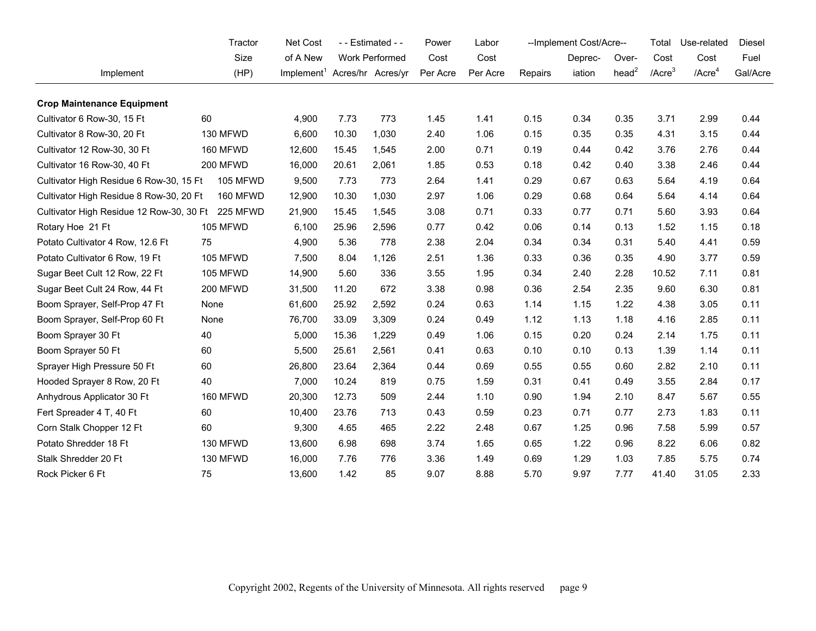| Tractor                                  |                 | <b>Net Cost</b>                          | - - Estimated - - |                | Power    | Labor    | --Implement Cost/Acre-- |         |                   | Total        | Use-related  | Diesel   |
|------------------------------------------|-----------------|------------------------------------------|-------------------|----------------|----------|----------|-------------------------|---------|-------------------|--------------|--------------|----------|
|                                          | Size            | of A New                                 |                   | Work Performed | Cost     | Cost     |                         | Deprec- | Over-             | Cost         | Cost         | Fuel     |
| Implement                                | (HP)            | Implement <sup>1</sup> Acres/hr Acres/yr |                   |                | Per Acre | Per Acre | Repairs                 | iation  | head <sup>2</sup> | $/$ Acre $3$ | $/$ Acre $4$ | Gal/Acre |
| <b>Crop Maintenance Equipment</b>        |                 |                                          |                   |                |          |          |                         |         |                   |              |              |          |
| Cultivator 6 Row-30, 15 Ft               | 60              | 4,900                                    | 7.73              | 773            | 1.45     | 1.41     | 0.15                    | 0.34    | 0.35              | 3.71         | 2.99         | 0.44     |
| Cultivator 8 Row-30, 20 Ft               | 130 MFWD        | 6,600                                    | 10.30             | 1,030          | 2.40     | 1.06     | 0.15                    | 0.35    | 0.35              | 4.31         | 3.15         | 0.44     |
| Cultivator 12 Row-30, 30 Ft              | 160 MFWD        | 12,600                                   | 15.45             | 1,545          | 2.00     | 0.71     | 0.19                    | 0.44    | 0.42              | 3.76         | 2.76         | 0.44     |
| Cultivator 16 Row-30, 40 Ft              | <b>200 MFWD</b> | 16,000                                   | 20.61             | 2,061          | 1.85     | 0.53     | 0.18                    | 0.42    | 0.40              | 3.38         | 2.46         | 0.44     |
| Cultivator High Residue 6 Row-30, 15 Ft  | <b>105 MFWD</b> | 9,500                                    | 7.73              | 773            | 2.64     | 1.41     | 0.29                    | 0.67    | 0.63              | 5.64         | 4.19         | 0.64     |
| Cultivator High Residue 8 Row-30, 20 Ft  | 160 MFWD        | 12,900                                   | 10.30             | 1,030          | 2.97     | 1.06     | 0.29                    | 0.68    | 0.64              | 5.64         | 4.14         | 0.64     |
| Cultivator High Residue 12 Row-30, 30 Ft | 225 MFWD        | 21,900                                   | 15.45             | 1,545          | 3.08     | 0.71     | 0.33                    | 0.77    | 0.71              | 5.60         | 3.93         | 0.64     |
| Rotary Hoe 21 Ft                         | 105 MFWD        | 6,100                                    | 25.96             | 2,596          | 0.77     | 0.42     | 0.06                    | 0.14    | 0.13              | 1.52         | 1.15         | 0.18     |
| Potato Cultivator 4 Row, 12.6 Ft         | 75              | 4,900                                    | 5.36              | 778            | 2.38     | 2.04     | 0.34                    | 0.34    | 0.31              | 5.40         | 4.41         | 0.59     |
| Potato Cultivator 6 Row, 19 Ft           | <b>105 MFWD</b> | 7,500                                    | 8.04              | 1,126          | 2.51     | 1.36     | 0.33                    | 0.36    | 0.35              | 4.90         | 3.77         | 0.59     |
| Sugar Beet Cult 12 Row, 22 Ft            | <b>105 MFWD</b> | 14,900                                   | 5.60              | 336            | 3.55     | 1.95     | 0.34                    | 2.40    | 2.28              | 10.52        | 7.11         | 0.81     |
| Sugar Beet Cult 24 Row, 44 Ft            | 200 MFWD        | 31,500                                   | 11.20             | 672            | 3.38     | 0.98     | 0.36                    | 2.54    | 2.35              | 9.60         | 6.30         | 0.81     |
| Boom Sprayer, Self-Prop 47 Ft            | None            | 61,600                                   | 25.92             | 2,592          | 0.24     | 0.63     | 1.14                    | 1.15    | 1.22              | 4.38         | 3.05         | 0.11     |
| Boom Sprayer, Self-Prop 60 Ft            | None            | 76,700                                   | 33.09             | 3.309          | 0.24     | 0.49     | 1.12                    | 1.13    | 1.18              | 4.16         | 2.85         | 0.11     |
| Boom Sprayer 30 Ft                       | 40              | 5,000                                    | 15.36             | 1,229          | 0.49     | 1.06     | 0.15                    | 0.20    | 0.24              | 2.14         | 1.75         | 0.11     |
| Boom Sprayer 50 Ft                       | 60              | 5,500                                    | 25.61             | 2,561          | 0.41     | 0.63     | 0.10                    | 0.10    | 0.13              | 1.39         | 1.14         | 0.11     |
| Sprayer High Pressure 50 Ft              | 60              | 26,800                                   | 23.64             | 2,364          | 0.44     | 0.69     | 0.55                    | 0.55    | 0.60              | 2.82         | 2.10         | 0.11     |
| Hooded Sprayer 8 Row, 20 Ft              | 40              | 7,000                                    | 10.24             | 819            | 0.75     | 1.59     | 0.31                    | 0.41    | 0.49              | 3.55         | 2.84         | 0.17     |
| Anhydrous Applicator 30 Ft               | 160 MFWD        | 20,300                                   | 12.73             | 509            | 2.44     | 1.10     | 0.90                    | 1.94    | 2.10              | 8.47         | 5.67         | 0.55     |
| Fert Spreader 4 T, 40 Ft                 | 60              | 10,400                                   | 23.76             | 713            | 0.43     | 0.59     | 0.23                    | 0.71    | 0.77              | 2.73         | 1.83         | 0.11     |
| Corn Stalk Chopper 12 Ft                 | 60              | 9,300                                    | 4.65              | 465            | 2.22     | 2.48     | 0.67                    | 1.25    | 0.96              | 7.58         | 5.99         | 0.57     |
| Potato Shredder 18 Ft                    | 130 MFWD        | 13,600                                   | 6.98              | 698            | 3.74     | 1.65     | 0.65                    | 1.22    | 0.96              | 8.22         | 6.06         | 0.82     |
| Stalk Shredder 20 Ft                     | 130 MFWD        | 16,000                                   | 7.76              | 776            | 3.36     | 1.49     | 0.69                    | 1.29    | 1.03              | 7.85         | 5.75         | 0.74     |
| Rock Picker 6 Ft                         | 75              | 13,600                                   | 1.42              | 85             | 9.07     | 8.88     | 5.70                    | 9.97    | 7.77              | 41.40        | 31.05        | 2.33     |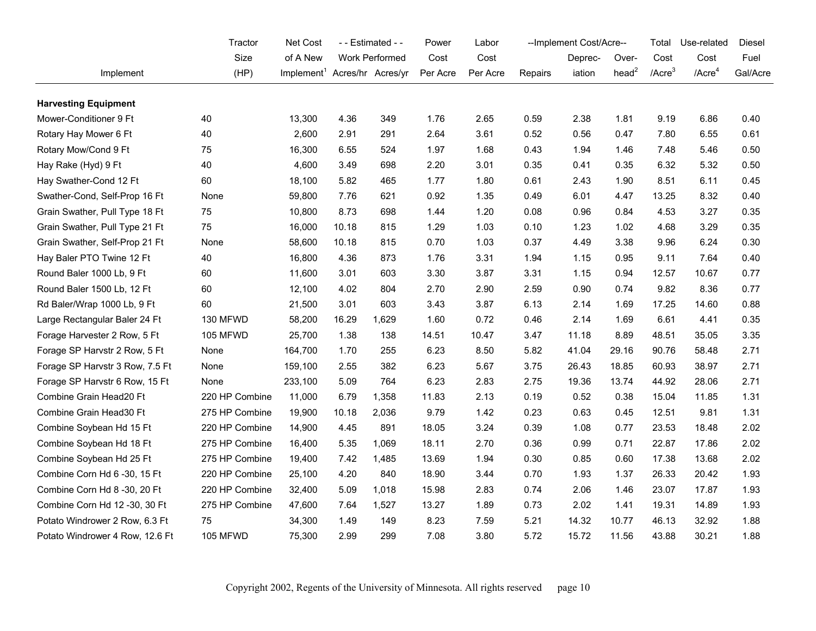|                                 | Tractor         | Net Cost                                 |       | - - Estimated - - |          | Labor    | -- Implement Cost/Acre-- |         |                   | Total        | Use-related        | <b>Diesel</b> |
|---------------------------------|-----------------|------------------------------------------|-------|-------------------|----------|----------|--------------------------|---------|-------------------|--------------|--------------------|---------------|
|                                 | Size            | of A New                                 |       | Work Performed    | Cost     | Cost     |                          | Deprec- | Over-             | Cost         | Cost               | Fuel          |
| Implement                       | (HP)            | Implement <sup>1</sup> Acres/hr Acres/yr |       |                   | Per Acre | Per Acre | Repairs                  | iation  | head <sup>2</sup> | $/$ Acre $3$ | /Acre <sup>4</sup> | Gal/Acre      |
| <b>Harvesting Equipment</b>     |                 |                                          |       |                   |          |          |                          |         |                   |              |                    |               |
| Mower-Conditioner 9 Ft          | 40              | 13,300                                   | 4.36  | 349               | 1.76     | 2.65     | 0.59                     | 2.38    | 1.81              | 9.19         | 6.86               | 0.40          |
| Rotary Hay Mower 6 Ft           | 40              | 2,600                                    | 2.91  | 291               | 2.64     | 3.61     | 0.52                     | 0.56    | 0.47              | 7.80         | 6.55               | 0.61          |
| Rotary Mow/Cond 9 Ft            | 75              | 16,300                                   | 6.55  | 524               | 1.97     | 1.68     | 0.43                     | 1.94    | 1.46              | 7.48         | 5.46               | 0.50          |
| Hay Rake (Hyd) 9 Ft             | 40              | 4,600                                    | 3.49  | 698               | 2.20     | 3.01     | 0.35                     | 0.41    | 0.35              | 6.32         | 5.32               | 0.50          |
| Hay Swather-Cond 12 Ft          | 60              | 18,100                                   | 5.82  | 465               | 1.77     | 1.80     | 0.61                     | 2.43    | 1.90              | 8.51         | 6.11               | 0.45          |
| Swather-Cond, Self-Prop 16 Ft   | None            | 59,800                                   | 7.76  | 621               | 0.92     | 1.35     | 0.49                     | 6.01    | 4.47              | 13.25        | 8.32               | 0.40          |
| Grain Swather, Pull Type 18 Ft  | 75              | 10,800                                   | 8.73  | 698               | 1.44     | 1.20     | 0.08                     | 0.96    | 0.84              | 4.53         | 3.27               | 0.35          |
| Grain Swather, Pull Type 21 Ft  | 75              | 16,000                                   | 10.18 | 815               | 1.29     | 1.03     | 0.10                     | 1.23    | 1.02              | 4.68         | 3.29               | 0.35          |
| Grain Swather, Self-Prop 21 Ft  | None            | 58,600                                   | 10.18 | 815               | 0.70     | 1.03     | 0.37                     | 4.49    | 3.38              | 9.96         | 6.24               | 0.30          |
| Hay Baler PTO Twine 12 Ft       | 40              | 16,800                                   | 4.36  | 873               | 1.76     | 3.31     | 1.94                     | 1.15    | 0.95              | 9.11         | 7.64               | 0.40          |
| Round Baler 1000 Lb, 9 Ft       | 60              | 11,600                                   | 3.01  | 603               | 3.30     | 3.87     | 3.31                     | 1.15    | 0.94              | 12.57        | 10.67              | 0.77          |
| Round Baler 1500 Lb, 12 Ft      | 60              | 12,100                                   | 4.02  | 804               | 2.70     | 2.90     | 2.59                     | 0.90    | 0.74              | 9.82         | 8.36               | 0.77          |
| Rd Baler/Wrap 1000 Lb, 9 Ft     | 60              | 21,500                                   | 3.01  | 603               | 3.43     | 3.87     | 6.13                     | 2.14    | 1.69              | 17.25        | 14.60              | 0.88          |
| Large Rectangular Baler 24 Ft   | 130 MFWD        | 58,200                                   | 16.29 | 1,629             | 1.60     | 0.72     | 0.46                     | 2.14    | 1.69              | 6.61         | 4.41               | 0.35          |
| Forage Harvester 2 Row, 5 Ft    | <b>105 MFWD</b> | 25,700                                   | 1.38  | 138               | 14.51    | 10.47    | 3.47                     | 11.18   | 8.89              | 48.51        | 35.05              | 3.35          |
| Forage SP Harvstr 2 Row, 5 Ft   | None            | 164,700                                  | 1.70  | 255               | 6.23     | 8.50     | 5.82                     | 41.04   | 29.16             | 90.76        | 58.48              | 2.71          |
| Forage SP Harvstr 3 Row, 7.5 Ft | None            | 159,100                                  | 2.55  | 382               | 6.23     | 5.67     | 3.75                     | 26.43   | 18.85             | 60.93        | 38.97              | 2.71          |
| Forage SP Harvstr 6 Row, 15 Ft  | None            | 233,100                                  | 5.09  | 764               | 6.23     | 2.83     | 2.75                     | 19.36   | 13.74             | 44.92        | 28.06              | 2.71          |
| Combine Grain Head20 Ft         | 220 HP Combine  | 11,000                                   | 6.79  | 1,358             | 11.83    | 2.13     | 0.19                     | 0.52    | 0.38              | 15.04        | 11.85              | 1.31          |
| Combine Grain Head30 Ft         | 275 HP Combine  | 19,900                                   | 10.18 | 2,036             | 9.79     | 1.42     | 0.23                     | 0.63    | 0.45              | 12.51        | 9.81               | 1.31          |
| Combine Soybean Hd 15 Ft        | 220 HP Combine  | 14,900                                   | 4.45  | 891               | 18.05    | 3.24     | 0.39                     | 1.08    | 0.77              | 23.53        | 18.48              | 2.02          |
| Combine Soybean Hd 18 Ft        | 275 HP Combine  | 16,400                                   | 5.35  | 1,069             | 18.11    | 2.70     | 0.36                     | 0.99    | 0.71              | 22.87        | 17.86              | 2.02          |
| Combine Soybean Hd 25 Ft        | 275 HP Combine  | 19,400                                   | 7.42  | 1,485             | 13.69    | 1.94     | 0.30                     | 0.85    | 0.60              | 17.38        | 13.68              | 2.02          |
| Combine Corn Hd 6 -30, 15 Ft    | 220 HP Combine  | 25,100                                   | 4.20  | 840               | 18.90    | 3.44     | 0.70                     | 1.93    | 1.37              | 26.33        | 20.42              | 1.93          |
| Combine Corn Hd 8 -30, 20 Ft    | 220 HP Combine  | 32,400                                   | 5.09  | 1,018             | 15.98    | 2.83     | 0.74                     | 2.06    | 1.46              | 23.07        | 17.87              | 1.93          |
| Combine Corn Hd 12 -30, 30 Ft   | 275 HP Combine  | 47,600                                   | 7.64  | 1,527             | 13.27    | 1.89     | 0.73                     | 2.02    | 1.41              | 19.31        | 14.89              | 1.93          |
| Potato Windrower 2 Row, 6.3 Ft  | 75              | 34,300                                   | 1.49  | 149               | 8.23     | 7.59     | 5.21                     | 14.32   | 10.77             | 46.13        | 32.92              | 1.88          |
| Potato Windrower 4 Row, 12.6 Ft | 105 MFWD        | 75,300                                   | 2.99  | 299               | 7.08     | 3.80     | 5.72                     | 15.72   | 11.56             | 43.88        | 30.21              | 1.88          |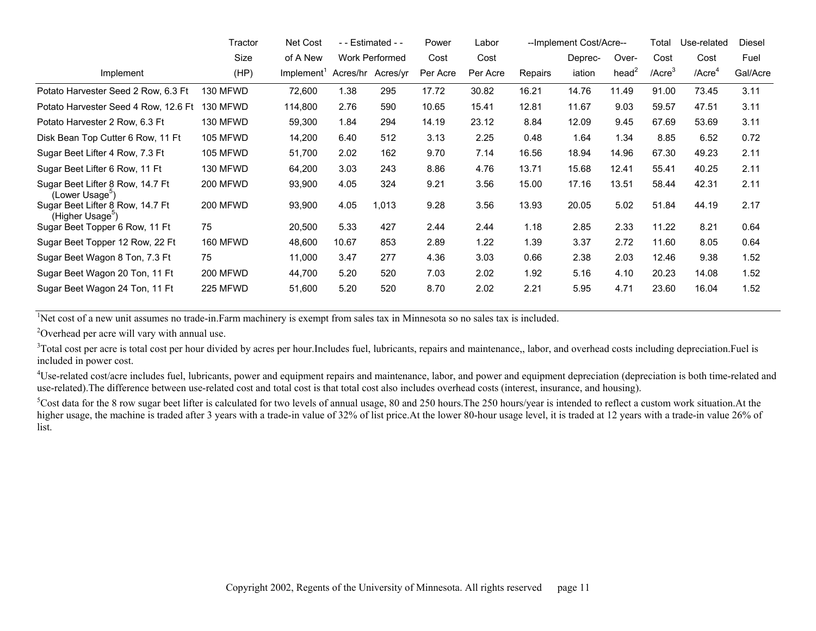|                                                                  | Tractor         | Net Cost               |          | - - Estimated - -     | Power    | Labor    |                | --Implement Cost/Acre-- |                   | Total        | Use-related           | Diesel   |
|------------------------------------------------------------------|-----------------|------------------------|----------|-----------------------|----------|----------|----------------|-------------------------|-------------------|--------------|-----------------------|----------|
|                                                                  | Size            | of A New               |          | <b>Work Performed</b> | Cost     | Cost     |                | Deprec-                 | Over-             | Cost         | Cost                  | Fuel     |
| Implement                                                        | (HP)            | Implement <sup>1</sup> | Acres/hr | Acres/yr              | Per Acre | Per Acre | <b>Repairs</b> | iation                  | head <sup>2</sup> | $/$ Acre $3$ | $/$ Acre <sup>4</sup> | Gal/Acre |
| Potato Harvester Seed 2 Row, 6.3 Ft                              | 130 MFWD        | 72,600                 | 1.38     | 295                   | 17.72    | 30.82    | 16.21          | 14.76                   | 11.49             | 91.00        | 73.45                 | 3.11     |
| Potato Harvester Seed 4 Row, 12.6 Ft                             | 130 MFWD        | 114,800                | 2.76     | 590                   | 10.65    | 15.41    | 12.81          | 11.67                   | 9.03              | 59.57        | 47.51                 | 3.11     |
| Potato Harvester 2 Row, 6.3 Ft                                   | 130 MFWD        | 59,300                 | 1.84     | 294                   | 14.19    | 23.12    | 8.84           | 12.09                   | 9.45              | 67.69        | 53.69                 | 3.11     |
| Disk Bean Top Cutter 6 Row, 11 Ft                                | 105 MFWD        | 14,200                 | 6.40     | 512                   | 3.13     | 2.25     | 0.48           | 1.64                    | 1.34              | 8.85         | 6.52                  | 0.72     |
| Sugar Beet Lifter 4 Row, 7.3 Ft                                  | <b>105 MFWD</b> | 51,700                 | 2.02     | 162                   | 9.70     | 7.14     | 16.56          | 18.94                   | 14.96             | 67.30        | 49.23                 | 2.11     |
| Sugar Beet Lifter 6 Row, 11 Ft                                   | 130 MFWD        | 64,200                 | 3.03     | 243                   | 8.86     | 4.76     | 13.71          | 15.68                   | 12.41             | 55.41        | 40.25                 | 2.11     |
| Sugar Beet Lifter 8 Row, 14.7 Ft<br>(Lower Usage <sup>5</sup> )  | <b>200 MFWD</b> | 93,900                 | 4.05     | 324                   | 9.21     | 3.56     | 15.00          | 17.16                   | 13.51             | 58.44        | 42.31                 | 2.11     |
| Sugar Beet Lifter 8 Row, 14.7 Ft<br>(Higher Usage <sup>5</sup> ) | <b>200 MFWD</b> | 93,900                 | 4.05     | 1,013                 | 9.28     | 3.56     | 13.93          | 20.05                   | 5.02              | 51.84        | 44.19                 | 2.17     |
| Sugar Beet Topper 6 Row, 11 Ft                                   | 75              | 20,500                 | 5.33     | 427                   | 2.44     | 2.44     | 1.18           | 2.85                    | 2.33              | 11.22        | 8.21                  | 0.64     |
| Sugar Beet Topper 12 Row, 22 Ft                                  | 160 MFWD        | 48,600                 | 10.67    | 853                   | 2.89     | 1.22     | 1.39           | 3.37                    | 2.72              | 11.60        | 8.05                  | 0.64     |
| Sugar Beet Wagon 8 Ton, 7.3 Ft                                   | 75              | 11,000                 | 3.47     | 277                   | 4.36     | 3.03     | 0.66           | 2.38                    | 2.03              | 12.46        | 9.38                  | 1.52     |
| Sugar Beet Wagon 20 Ton, 11 Ft                                   | <b>200 MFWD</b> | 44,700                 | 5.20     | 520                   | 7.03     | 2.02     | 1.92           | 5.16                    | 4.10              | 20.23        | 14.08                 | 1.52     |
| Sugar Beet Wagon 24 Ton, 11 Ft                                   | 225 MFWD        | 51,600                 | 5.20     | 520                   | 8.70     | 2.02     | 2.21           | 5.95                    | 4.71              | 23.60        | 16.04                 | 1.52     |

<sup>1</sup>Net cost of a new unit assumes no trade-in.Farm machinery is exempt from sales tax in Minnesota so no sales tax is included.

2Overhead per acre will vary with annual use.

<sup>3</sup>Total cost per acre is total cost per hour divided by acres per hour.Includes fuel, lubricants, repairs and maintenance,, labor, and overhead costs including depreciation. Fuel is included in power cost.

<sup>4</sup>Use-related cost/acre includes fuel, lubricants, power and equipment repairs and maintenance, labor, and power and equipment depreciation (depreciation is both time-related and use-related).The difference between use-related cost and total cost is that total cost also includes overhead costs (interest, insurance, and housing).

 $5Cost$  data for the 8 row sugar beet lifter is calculated for two levels of annual usage, 80 and 250 hours. The 250 hours/year is intended to reflect a custom work situation. At the higher usage, the machine is traded after 3 years with a trade-in value of 32% of list price. At the lower 80-hour usage level, it is traded at 12 years with a trade-in value 26% of list.